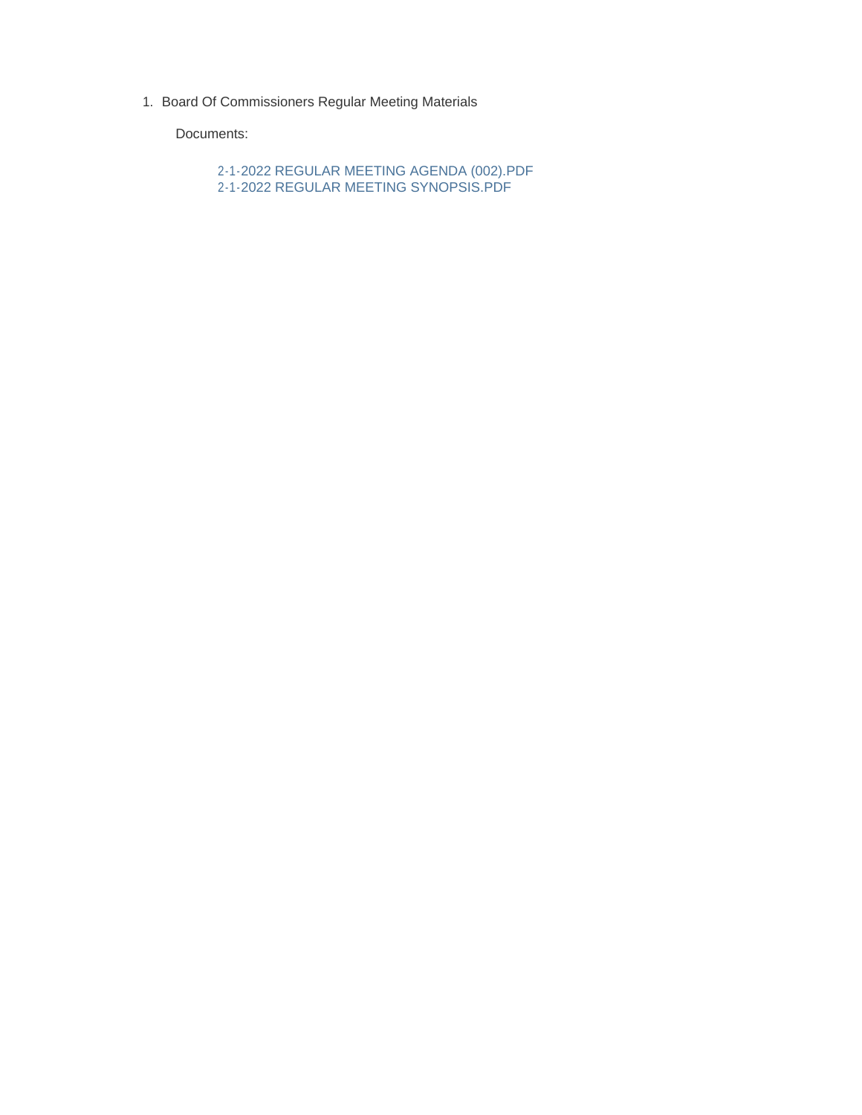1. Board Of Commissioners Regular Meeting Materials

Documents:

2-1-2022 REGULAR MEETING AGENDA (002).PDF 2-1-2022 REGULAR MEETING SYNOPSIS.PDF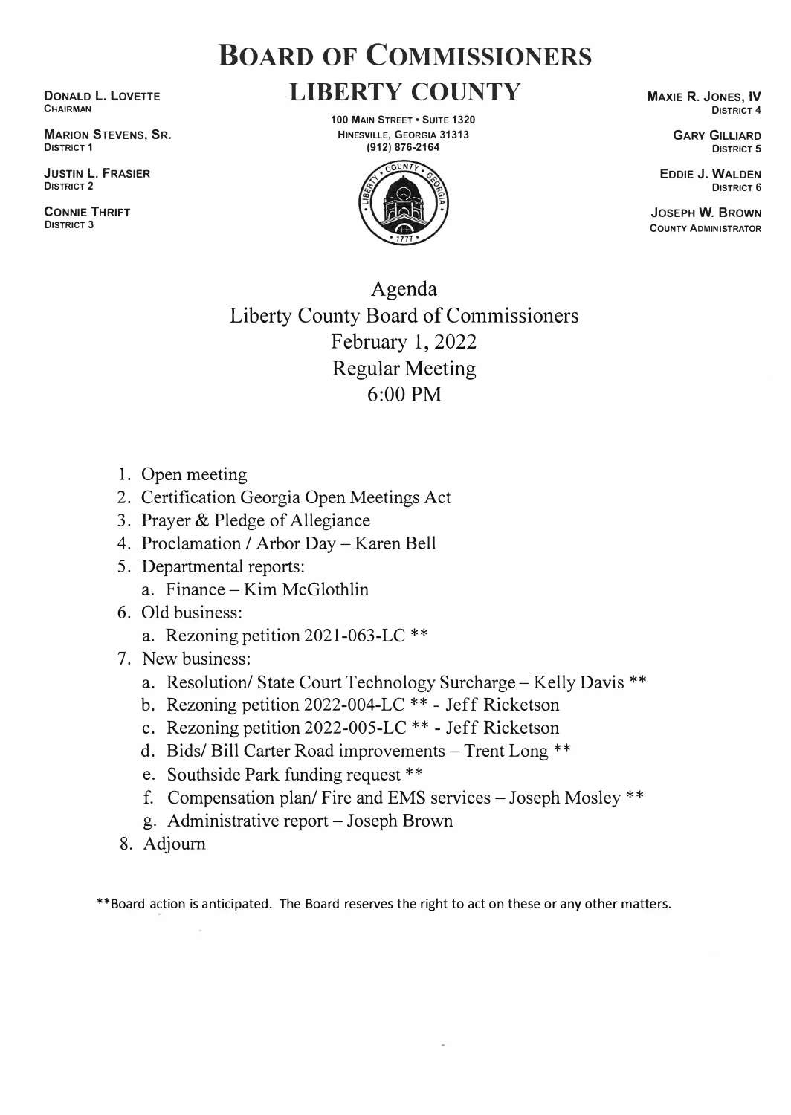## **BOARD OF COMMISSIONERS LIBERTY COUNTY**

**DONALD l. LOVETTE CHAIRMAN** 

**MARION STEVENS, SR. DISTRICT 1** 

**JUSTIN L. FRASIER DISTRICT 2** 

**CONNIE THRIFT DISTRICT 3** 

**100 MAIN STREET • SUITE 1320 HINESVILLE, GEORGIA 31313 (912) 876-2164**



**MAXIE R. JONES, IV DISTRICT 4** 

> **GARY GILLIARD DISTRICT 5**

**EDDIE J. WALDEN DISTRICT 6** 

**JOSEPH W. BROWN COUNTY ADMINISTRATOR** 

## Agenda Liberty County Board of Commissioners February 1, 2022 Regular Meeting  $6:00$  PM

- 1. Open meeting
- 2. Certification Georgia Open Meetings Act
- 3. Prayer & Pledge of Allegiance
- 4. Proclamation / Arbor Day -Karen Bell
- 5. Departmental reports: a. Finance -Kim McGlothlin
- 6. Old business:
	- a. Rezoning petition 2021-063-LC \*\*
- 7. New business:
	- a. Resolution/ State Court Technology Surcharge Kelly Davis \*\*
	- b. Rezoning petition 2022-004-LC \*\* Jeff Ricketson
	- c. Rezoning petition 2022-005-LC \*\* Jeff Ricketson
	- d. Bids/ Bill Carter Road improvements Trent Long \*\*
	- e. Southside Park funding request \*\*
	- f. Compensation plan/ Fire and EMS services Joseph Mosley \*\*
	- g. Administrative report -Joseph Brown
- 8. Adjourn

\*\*Board action is anticipated. The Board reserves the right to act on these or any other matters.